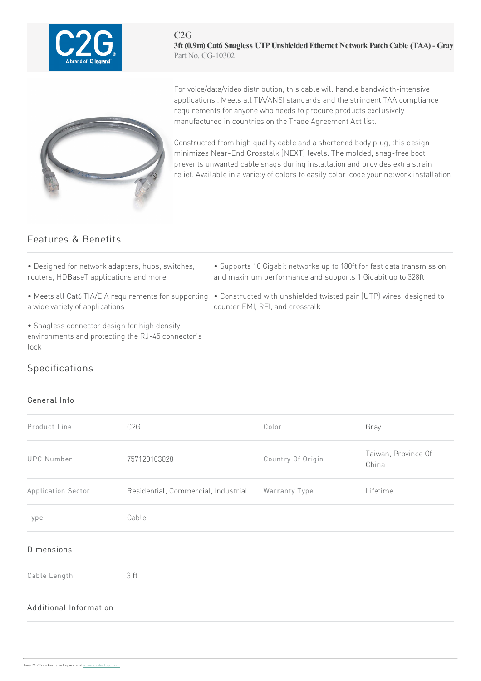

C2G **3ft (0.9m) Cat6 Snagless UTPUnshieldedEthernet Network PatchCable (TAA) - Gray** Part No. CG-10302



For voice/data/video distribution, this cable will handle bandwidth-intensive applications . Meets all TIA/ANSI standards and the stringent TAA compliance requirements for anyone who needs to procure products exclusively manufactured in countries on the Trade Agreement Act list.

Constructed from high quality cable and a shortened body plug, this design minimizes Near-End Crosstalk (NEXT) levels. The molded, snag-free boot prevents unwanted cable snags during installation and provides extra strain relief. Available in a variety of colors to easily color-code your network installation.

## Features & Benefits

- Designed for network adapters, hubs, switches, routers, HDBaseT applications and more
- a wide variety of applications
- Snagless connector design for high density environments and protecting the RJ-45 connector's lock
- Supports 10 Gigabit networks up to 180ft for fast data transmission and maximum performance and supports 1 Gigabit up to 328ft
- Meets all Cat6 TIA/EIA requirements for supporting Constructed with unshielded twisted pair (UTP) wires, designed to counter EMI, RFI, and crosstalk

## Specifications

## General Info

| Product Line           | C <sub>2</sub> G                    | Color             | Gray                         |
|------------------------|-------------------------------------|-------------------|------------------------------|
| <b>UPC Number</b>      | 757120103028                        | Country Of Origin | Taiwan, Province Of<br>China |
| Application Sector     | Residential, Commercial, Industrial | Warranty Type     | Lifetime                     |
| Type                   | Cable                               |                   |                              |
| <b>Dimensions</b>      |                                     |                   |                              |
| Cable Length           | 3 ft                                |                   |                              |
| Additional Information |                                     |                   |                              |